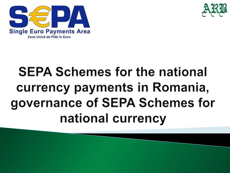



# **SEPA Schemes for the national** currency payments in Romania, governance of SEPA Schemes for national currency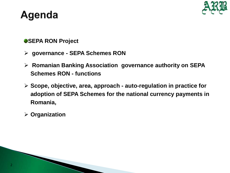# **Agenda**



### **SEPA RON Project**

- **governance - SEPA Schemes RON**
- **Romanian Banking Association governance authority on SEPA Schemes RON - functions**
- **Scope, objective, area, approach - auto-regulation in practice for adoption of SEPA Schemes for the national currency payments in Romania,**
- **Organization**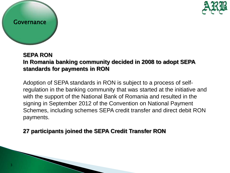

#### Governance

### **SEPA RON In Romania banking community decided in 2008 to adopt SEPA standards for payments in RON**

Adoption of SEPA standards in RON is subject to a process of selfregulation in the banking community that was started at the initiative and with the support of the National Bank of Romania and resulted in the signing in September 2012 of the Convention on National Payment Schemes, including schemes SEPA credit transfer and direct debit RON payments.

## **27 participants joined the SEPA Credit Transfer RON**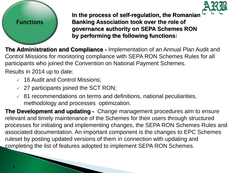

# **Functions**

**In the process of self-regulation, the Romanian Banking Association took over the role of governance authority on SEPA Schemes RON by performing the following functions:** 

**The Administration and Compliance -** Implementation of an Annual Plan Audit and Control Missions for monitoring compliance with SEPA RON Schemes Rules for all participants who joined the Convention on National Payment Schemes.

Results in 2014 up to date:

- $\times$  16 Audit and Control Missions;
- $\sim$  27 participants joined the SCT RON;
- $\overline{6}$  81 recommendations on terms and definitions, national peculiarities, methodology and processes optimization.

**The Development and updating -** Change management procedures aim to ensure relevant and timely maintenance of the Schemes for their users through structured processes for initiating and implementing changes, the SEPA RON Schemes Rules and associated documentation. An important component is the changes to EPC Schemes ruleset by posting updated versions of them in connection with updating and completing the list of features adopted to implement SEPA RON Schemes.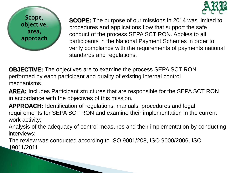



**SCOPE:** The purpose of our missions in 2014 was limited to procedures and applications flow that support the safe conduct of the process SEPA SCT RON. Applies to all participants in the National Payment Schemes in order to verify compliance with the requirements of payments national standards and regulations.

**OBJECTIVE:** The objectives are to examine the process SEPA SCT RON performed by each participant and quality of existing internal control mechanisms.

**AREA:** Includes Participant structures that are responsible for the SEPA SCT RON in accordance with the objectives of this mission.

**APPROACH:** Identification of regulations, manuals, procedures and legal requirements for SEPA SCT RON and examine their implementation in the current work activity;

Analysis of the adequacy of control measures and their implementation by conducting interviews;

The review was conducted according to ISO 9001/208, ISO 9000/2006, ISO 19011/2011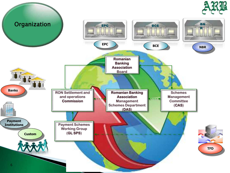